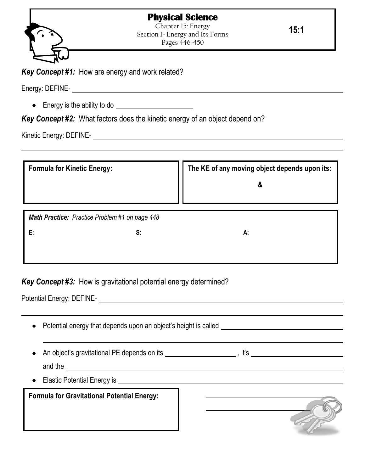## **Physical Science**



Chapter 15: Energy Section 1- Energy and Its Forms Pages 446-450

**15:1**

*Key Concept #1:* How are energy and work related?

Energy: DEFINE-<br>
<u>Energy: DEFINE-</u>

• Energy is the ability to do **Energy** is the ability to do

*Key Concept #2:* What factors does the kinetic energy of an object depend on?

Kinetic Energy: DEFINE-

| <b>Formula for Kinetic Energy:</b>                    | The KE of any moving object depends upon its:<br>& |
|-------------------------------------------------------|----------------------------------------------------|
| <b>Math Practice:</b> Practice Problem #1 on page 448 |                                                    |
| Ε.<br>S:                                              | А.                                                 |
|                                                       |                                                    |
|                                                       |                                                    |

*Key Concept #3:* How is gravitational potential energy determined?

Potential Energy: DEFINE-

| Potential energy that depends upon an object's height is called<br>$\bullet$                                                                                                                                                                      |                                                                                                                |
|---------------------------------------------------------------------------------------------------------------------------------------------------------------------------------------------------------------------------------------------------|----------------------------------------------------------------------------------------------------------------|
| $\bullet$<br>and the <u>substantial and the series of the series of the series of the series of the series of the series of the series of the series of the series of the series of the series of the series of the series of the series of t</u> | An object's gravitational PE depends on its __________________________, it's _________________________________ |
| Elastic Potential Energy is example and the set of the set of the set of the set of the set of the set of the<br>$\bullet$                                                                                                                        |                                                                                                                |
| <b>Formula for Gravitational Potential Energy:</b>                                                                                                                                                                                                |                                                                                                                |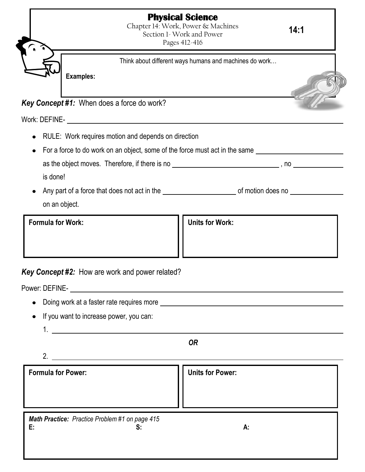|                                                        | <b>Physical Science</b><br>Chapter 14: Work, Power & Machines<br>Section 1- Work and Power<br>Pages 412-416 | 14:1 |
|--------------------------------------------------------|-------------------------------------------------------------------------------------------------------------|------|
|                                                        | Think about different ways humans and machines do work                                                      |      |
| <b>Examples:</b>                                       |                                                                                                             |      |
|                                                        |                                                                                                             |      |
| <b>Key Concept #1:</b> When does a force do work?      |                                                                                                             |      |
|                                                        |                                                                                                             |      |
| $\bullet$                                              | RULE: Work requires motion and depends on direction                                                         |      |
| $\bullet$                                              | For a force to do work on an object, some of the force must act in the same                                 |      |
|                                                        |                                                                                                             |      |
| is done!                                               |                                                                                                             |      |
|                                                        | Any part of a force that does not act in the service and the service of motion does no                      |      |
| on an object.                                          |                                                                                                             |      |
| <b>Formula for Work:</b>                               | <b>Units for Work:</b>                                                                                      |      |
|                                                        |                                                                                                             |      |
|                                                        |                                                                                                             |      |
| <b>Key Concept #2:</b> How are work and power related? |                                                                                                             |      |
|                                                        |                                                                                                             |      |
|                                                        |                                                                                                             |      |
|                                                        |                                                                                                             |      |
|                                                        |                                                                                                             |      |
| If you want to increase power, you can:                |                                                                                                             |      |
|                                                        | $1. \underline{\hspace{2.5cm}}$                                                                             |      |
|                                                        | <b>OR</b>                                                                                                   |      |
|                                                        | $2.$ $\overline{\phantom{a}}$                                                                               |      |
| <b>Formula for Power:</b>                              | <b>Units for Power:</b>                                                                                     |      |

*Math Practice: Practice Problem #1 on page 415* **E: S: A:**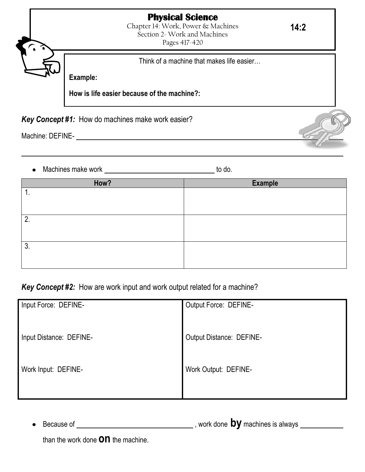## **Physical Science**

Chapter 14: Work, Power & Machines Section 2- Work and Machines Pages 417-420

Think of a machine that makes life easier…

**Example:**

**How is life easier because of the machine?:**

*Key Concept #1:* How do machines make work easier?

Machine: DEFINE-

Machines make work to do.

| How? | <b>Example</b> |
|------|----------------|
| ι.   |                |
|      |                |
|      |                |
| 2.   |                |
|      |                |
|      |                |
| 3.   |                |
|      |                |
|      |                |

## *Key Concept #2:* How are work input and work output related for a machine?

| Input Force: DEFINE-    | Output Force: DEFINE-       |
|-------------------------|-----------------------------|
| Input Distance: DEFINE- | Output Distance: DEFINE-    |
| Work Input: DEFINE-     | <b>Work Output: DEFINE-</b> |

Because of , work done **by** machines is always

than the work done **on** the machine.

**14:2**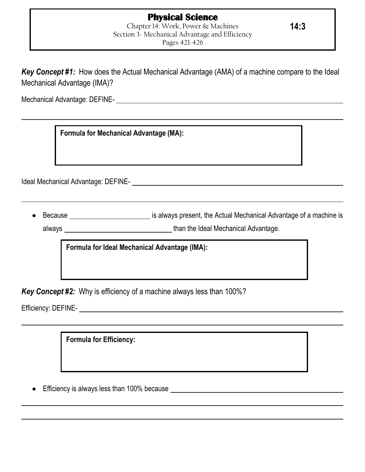*Key Concept #1:* How does the Actual Mechanical Advantage (AMA) of a machine compare to the Ideal Mechanical Advantage (IMA)?

Mechanical Advantage: DEFINE-

**Formula for Mechanical Advantage (MA):**

Ideal Mechanical Advantage: DEFINE-

Because **is always present**, the Actual Mechanical Advantage of a machine is always than the Ideal Mechanical Advantage.

**Formula for Ideal Mechanical Advantage (IMA):**

*Key Concept #2:* Why is efficiency of a machine always less than 100%?

Efficiency: DEFINE-

**Formula for Efficiency:**

Efficiency is always less than 100% because

**14:3**